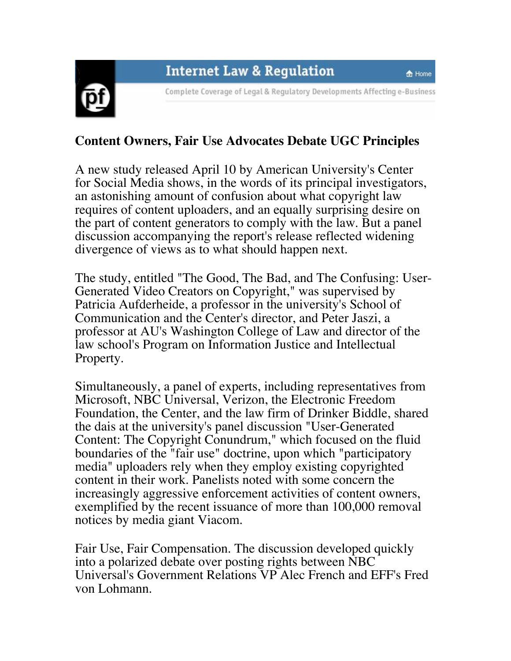## **Internet Law & Regulation**

合 Home



Complete Coverage of Legal & Regulatory Developments Affecting e-Business

## **Content Owners, Fair Use Advocates Debate UGC Principles**

A new study released April 10 by American University's Center for Social Media shows, in the words of its principal investigators, an astonishing amount of confusion about what copyright law requires of content uploaders, and an equally surprising desire on the part of content generators to comply with the law. But a panel discussion accompanying the report's release reflected widening divergence of views as to what should happen next.

The study, entitled "The Good, The Bad, and The Confusing: User-Generated Video Creators on Copyright," was supervised by Patricia Aufderheide, a professor in the university's School of Communication and the Center's director, and Peter Jaszi, a professor at AU's Washington College of Law and director of the law school's Program on Information Justice and Intellectual Property.

Simultaneously, a panel of experts, including representatives from Microsoft, NBC Universal, Verizon, the Electronic Freedom Foundation, the Center, and the law firm of Drinker Biddle, shared the dais at the university's panel discussion "User-Generated Content: The Copyright Conundrum," which focused on the fluid boundaries of the "fair use" doctrine, upon which "participatory media" uploaders rely when they employ existing copyrighted content in their work. Panelists noted with some concern the increasingly aggressive enforcement activities of content owners, exemplified by the recent issuance of more than 100,000 removal notices by media giant Viacom.

Fair Use, Fair Compensation. The discussion developed quickly into a polarized debate over posting rights between NBC Universal's Government Relations VP Alec French and EFF's Fred von Lohmann.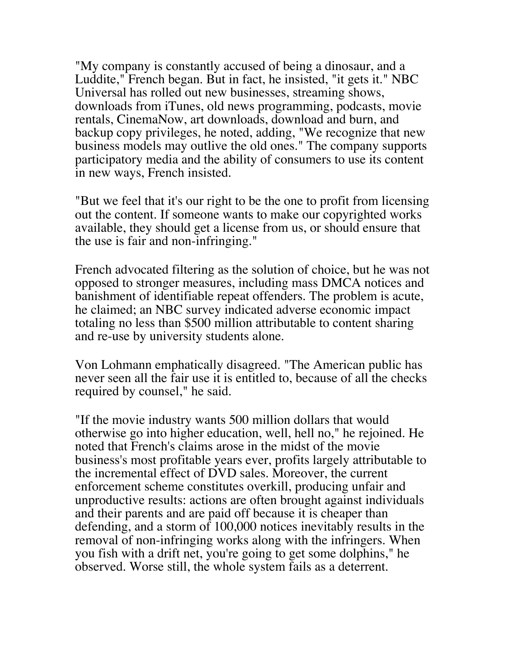"My company is constantly accused of being a dinosaur, and a Luddite," French began. But in fact, he insisted, "it gets it." NBC Universal has rolled out new businesses, streaming shows, downloads from iTunes, old news programming, podcasts, movie rentals, CinemaNow, art downloads, download and burn, and backup copy privileges, he noted, adding, "We recognize that new business models may outlive the old ones." The company supports participatory media and the ability of consumers to use its content in new ways, French insisted.

"But we feel that it's our right to be the one to profit from licensing out the content. If someone wants to make our copyrighted works available, they should get a license from us, or should ensure that the use is fair and non-infringing."

French advocated filtering as the solution of choice, but he was not opposed to stronger measures, including mass DMCA notices and banishment of identifiable repeat offenders. The problem is acute, he claimed; an NBC survey indicated adverse economic impact totaling no less than \$500 million attributable to content sharing and re-use by university students alone.

Von Lohmann emphatically disagreed. "The American public has never seen all the fair use it is entitled to, because of all the checks required by counsel," he said.

"If the movie industry wants 500 million dollars that would otherwise go into higher education, well, hell no," he rejoined. He noted that French's claims arose in the midst of the movie business's most profitable years ever, profits largely attributable to the incremental effect of DVD sales. Moreover, the current enforcement scheme constitutes overkill, producing unfair and unproductive results: actions are often brought against individuals and their parents and are paid off because it is cheaper than defending, and a storm of 100,000 notices inevitably results in the removal of non-infringing works along with the infringers. When you fish with a drift net, you're going to get some dolphins," he observed. Worse still, the whole system fails as a deterrent.